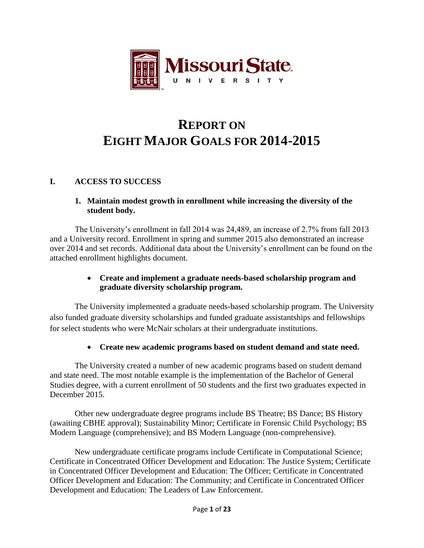

# **REPORT ON EIGHT MAJOR GOALS FOR 2014-2015**

# **I. ACCESS TO SUCCESS**

## **1. Maintain modest growth in enrollment while increasing the diversity of the student body.**

The University's enrollment in fall 2014 was 24,489, an increase of 2.7% from fall 2013 and a University record. Enrollment in spring and summer 2015 also demonstrated an increase over 2014 and set records. Additional data about the University's enrollment can be found on the attached enrollment highlights document.

# **Create and implement a graduate needs-based scholarship program and graduate diversity scholarship program.**

The University implemented a graduate needs-based scholarship program. The University also funded graduate diversity scholarships and funded graduate assistantships and fellowships for select students who were McNair scholars at their undergraduate institutions.

#### **Create new academic programs based on student demand and state need.**

The University created a number of new academic programs based on student demand and state need. The most notable example is the implementation of the Bachelor of General Studies degree, with a current enrollment of 50 students and the first two graduates expected in December 2015.

Other new undergraduate degree programs include BS Theatre; BS Dance; BS History (awaiting CBHE approval); Sustainability Minor; Certificate in Forensic Child Psychology; BS Modern Language (comprehensive); and BS Modern Language (non-comprehensive).

New undergraduate certificate programs include Certificate in Computational Science; Certificate in Concentrated Officer Development and Education: The Justice System; Certificate in Concentrated Officer Development and Education: The Officer; Certificate in Concentrated Officer Development and Education: The Community; and Certificate in Concentrated Officer Development and Education: The Leaders of Law Enforcement.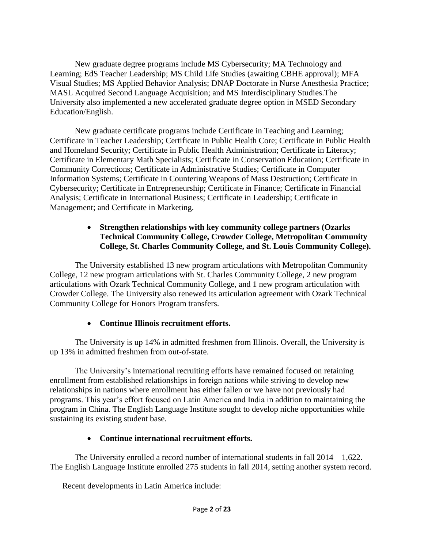New graduate degree programs include MS Cybersecurity; MA Technology and Learning; EdS Teacher Leadership; MS Child Life Studies (awaiting CBHE approval); MFA Visual Studies; MS Applied Behavior Analysis; DNAP Doctorate in Nurse Anesthesia Practice; MASL Acquired Second Language Acquisition; and MS Interdisciplinary Studies.The University also implemented a new accelerated graduate degree option in MSED Secondary Education/English.

New graduate certificate programs include Certificate in Teaching and Learning; Certificate in Teacher Leadership; Certificate in Public Health Core; Certificate in Public Health and Homeland Security; Certificate in Public Health Administration; Certificate in Literacy; Certificate in Elementary Math Specialists; Certificate in Conservation Education; Certificate in Community Corrections; Certificate in Administrative Studies; Certificate in Computer Information Systems; Certificate in Countering Weapons of Mass Destruction; Certificate in Cybersecurity; Certificate in Entrepreneurship; Certificate in Finance; Certificate in Financial Analysis; Certificate in International Business; Certificate in Leadership; Certificate in Management; and Certificate in Marketing.

### **Strengthen relationships with key community college partners (Ozarks Technical Community College, Crowder College, Metropolitan Community College, St. Charles Community College, and St. Louis Community College).**

The University established 13 new program articulations with Metropolitan Community College, 12 new program articulations with St. Charles Community College, 2 new program articulations with Ozark Technical Community College, and 1 new program articulation with Crowder College. The University also renewed its articulation agreement with Ozark Technical Community College for Honors Program transfers.

# **Continue Illinois recruitment efforts.**

The University is up 14% in admitted freshmen from Illinois. Overall, the University is up 13% in admitted freshmen from out-of-state.

The University's international recruiting efforts have remained focused on retaining enrollment from established relationships in foreign nations while striving to develop new relationships in nations where enrollment has either fallen or we have not previously had programs. This year's effort focused on Latin America and India in addition to maintaining the program in China. The English Language Institute sought to develop niche opportunities while sustaining its existing student base.

# **Continue international recruitment efforts.**

The University enrolled a record number of international students in fall 2014—1,622. The English Language Institute enrolled 275 students in fall 2014, setting another system record.

Recent developments in Latin America include: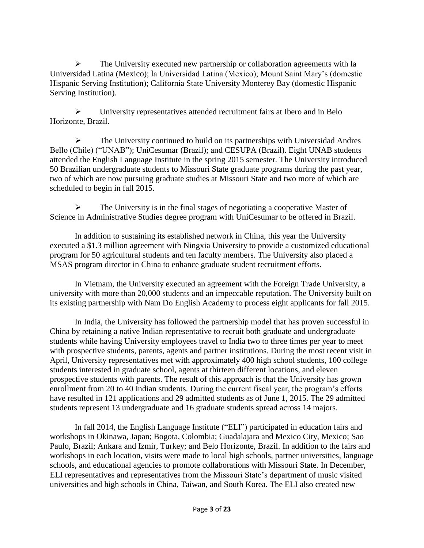$\triangleright$  The University executed new partnership or collaboration agreements with la Universidad Latina (Mexico); la Universidad Latina (Mexico); Mount Saint Mary's (domestic Hispanic Serving Institution); California State University Monterey Bay (domestic Hispanic Serving Institution).

 University representatives attended recruitment fairs at Ibero and in Belo Horizonte, Brazil.

 $\triangleright$  The University continued to build on its partnerships with Universidad Andres Bello (Chile) ("UNAB"); UniCesumar (Brazil); and CESUPA (Brazil). Eight UNAB students attended the English Language Institute in the spring 2015 semester. The University introduced 50 Brazilian undergraduate students to Missouri State graduate programs during the past year, two of which are now pursuing graduate studies at Missouri State and two more of which are scheduled to begin in fall 2015.

 $\triangleright$  The University is in the final stages of negotiating a cooperative Master of Science in Administrative Studies degree program with UniCesumar to be offered in Brazil.

In addition to sustaining its established network in China, this year the University executed a \$1.3 million agreement with Ningxia University to provide a customized educational program for 50 agricultural students and ten faculty members. The University also placed a MSAS program director in China to enhance graduate student recruitment efforts.

In Vietnam, the University executed an agreement with the Foreign Trade University, a university with more than 20,000 students and an impeccable reputation. The University built on its existing partnership with Nam Do English Academy to process eight applicants for fall 2015.

In India, the University has followed the partnership model that has proven successful in China by retaining a native Indian representative to recruit both graduate and undergraduate students while having University employees travel to India two to three times per year to meet with prospective students, parents, agents and partner institutions. During the most recent visit in April, University representatives met with approximately 400 high school students, 100 college students interested in graduate school, agents at thirteen different locations, and eleven prospective students with parents. The result of this approach is that the University has grown enrollment from 20 to 40 Indian students. During the current fiscal year, the program's efforts have resulted in 121 applications and 29 admitted students as of June 1, 2015. The 29 admitted students represent 13 undergraduate and 16 graduate students spread across 14 majors.

In fall 2014, the English Language Institute ("ELI") participated in education fairs and workshops in Okinawa, Japan; Bogota, Colombia; Guadalajara and Mexico City, Mexico; Sao Paulo, Brazil; Ankara and Izmir, Turkey; and Belo Horizonte, Brazil. In addition to the fairs and workshops in each location, visits were made to local high schools, partner universities, language schools, and educational agencies to promote collaborations with Missouri State. In December, ELI representatives and representatives from the Missouri State's department of music visited universities and high schools in China, Taiwan, and South Korea. The ELI also created new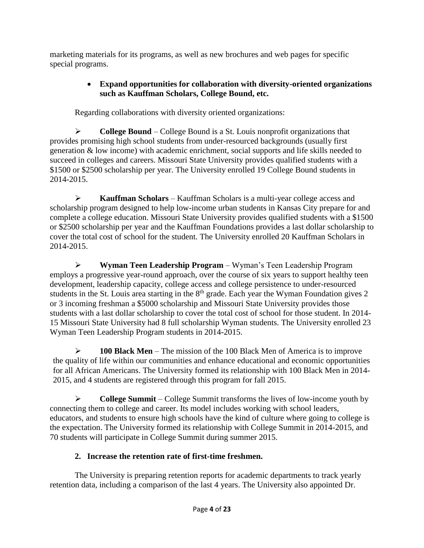marketing materials for its programs, as well as new brochures and web pages for specific special programs.

# **Expand opportunities for collaboration with diversity-oriented organizations such as Kauffman Scholars, College Bound, etc.**

Regarding collaborations with diversity oriented organizations:

**EXECUTE:** College Bound – College Bound is a St. Louis nonprofit organizations that provides promising high school students from under-resourced backgrounds (usually first generation & low income) with academic enrichment, social supports and life skills needed to succeed in colleges and careers. Missouri State University provides qualified students with a \$1500 or \$2500 scholarship per year. The University enrolled 19 College Bound students in 2014-2015.

 **Kauffman Scholars** – Kauffman Scholars is a multi-year college access and scholarship program designed to help low-income urban students in Kansas City prepare for and complete a college education. Missouri State University provides qualified students with a \$1500 or \$2500 scholarship per year and the Kauffman Foundations provides a last dollar scholarship to cover the total cost of school for the student. The University enrolled 20 Kauffman Scholars in 2014-2015.

 **Wyman Teen Leadership Program** – Wyman's Teen Leadership Program employs a progressive year-round approach, over the course of six years to support healthy teen development, leadership capacity, college access and college persistence to under-resourced students in the St. Louis area starting in the 8<sup>th</sup> grade. Each year the Wyman Foundation gives 2 or 3 incoming freshman a \$5000 scholarship and Missouri State University provides those students with a last dollar scholarship to cover the total cost of school for those student. In 2014- 15 Missouri State University had 8 full scholarship Wyman students. The University enrolled 23 Wyman Teen Leadership Program students in 2014-2015.

 **100 Black Men** – The mission of the 100 Black Men of America is to improve the quality of life within our communities and enhance educational and economic opportunities for all African Americans. The University formed its relationship with 100 Black Men in 2014- 2015, and 4 students are registered through this program for fall 2015.

 **College Summit** – College Summit transforms the lives of low-income youth by connecting them to college and career. Its model includes working with school leaders, educators, and students to ensure high schools have the kind of culture where going to college is the expectation. The University formed its relationship with College Summit in 2014-2015, and 70 students will participate in College Summit during summer 2015.

# **2. Increase the retention rate of first-time freshmen.**

The University is preparing retention reports for academic departments to track yearly retention data, including a comparison of the last 4 years. The University also appointed Dr.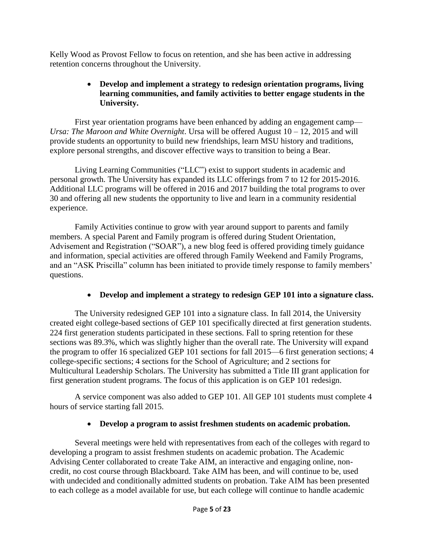Kelly Wood as Provost Fellow to focus on retention, and she has been active in addressing retention concerns throughout the University.

# **Develop and implement a strategy to redesign orientation programs, living learning communities, and family activities to better engage students in the University.**

First year orientation programs have been enhanced by adding an engagement camp— *Ursa: The Maroon and White Overnight*. Ursa will be offered August 10 – 12, 2015 and will provide students an opportunity to build new friendships, learn MSU history and traditions, explore personal strengths, and discover effective ways to transition to being a Bear.

Living Learning Communities ("LLC") exist to support students in academic and personal growth. The University has expanded its LLC offerings from 7 to 12 for 2015-2016. Additional LLC programs will be offered in 2016 and 2017 building the total programs to over 30 and offering all new students the opportunity to live and learn in a community residential experience.

Family Activities continue to grow with year around support to parents and family members. A special Parent and Family program is offered during Student Orientation, Advisement and Registration ("SOAR"), a new blog feed is offered providing timely guidance and information, special activities are offered through Family Weekend and Family Programs, and an "ASK Priscilla" column has been initiated to provide timely response to family members' questions.

# **Develop and implement a strategy to redesign GEP 101 into a signature class.**

The University redesigned GEP 101 into a signature class. In fall 2014, the University created eight college-based sections of GEP 101 specifically directed at first generation students. 224 first generation students participated in these sections. Fall to spring retention for these sections was 89.3%, which was slightly higher than the overall rate. The University will expand the program to offer 16 specialized GEP 101 sections for fall 2015—6 first generation sections; 4 college-specific sections; 4 sections for the School of Agriculture; and 2 sections for Multicultural Leadership Scholars. The University has submitted a Title III grant application for first generation student programs. The focus of this application is on GEP 101 redesign.

A service component was also added to GEP 101. All GEP 101 students must complete 4 hours of service starting fall 2015.

# **Develop a program to assist freshmen students on academic probation.**

Several meetings were held with representatives from each of the colleges with regard to developing a program to assist freshmen students on academic probation. The Academic Advising Center collaborated to create Take AIM, an interactive and engaging online, noncredit, no cost course through Blackboard. Take AIM has been, and will continue to be, used with undecided and conditionally admitted students on probation. Take AIM has been presented to each college as a model available for use, but each college will continue to handle academic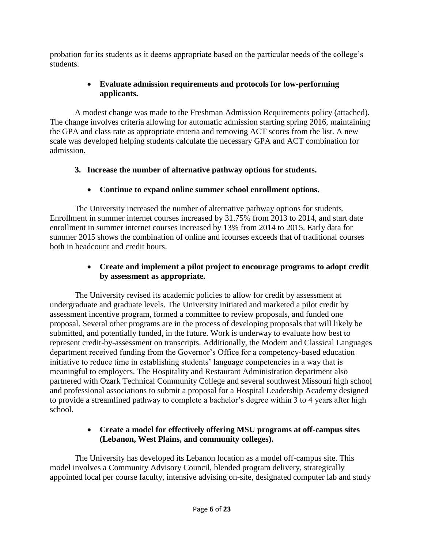probation for its students as it deems appropriate based on the particular needs of the college's students.

# **Evaluate admission requirements and protocols for low-performing applicants.**

A modest change was made to the Freshman Admission Requirements policy (attached). The change involves criteria allowing for automatic admission starting spring 2016, maintaining the GPA and class rate as appropriate criteria and removing ACT scores from the list. A new scale was developed helping students calculate the necessary GPA and ACT combination for admission.

# **3. Increase the number of alternative pathway options for students.**

# **Continue to expand online summer school enrollment options.**

The University increased the number of alternative pathway options for students. Enrollment in summer internet courses increased by 31.75% from 2013 to 2014, and start date enrollment in summer internet courses increased by 13% from 2014 to 2015. Early data for summer 2015 shows the combination of online and icourses exceeds that of traditional courses both in headcount and credit hours.

# **Create and implement a pilot project to encourage programs to adopt credit by assessment as appropriate.**

The University revised its academic policies to allow for credit by assessment at undergraduate and graduate levels. The University initiated and marketed a pilot credit by assessment incentive program, formed a committee to review proposals, and funded one proposal. Several other programs are in the process of developing proposals that will likely be submitted, and potentially funded, in the future. Work is underway to evaluate how best to represent credit-by-assessment on transcripts. Additionally, the Modern and Classical Languages department received funding from the Governor's Office for a competency-based education initiative to reduce time in establishing students' language competencies in a way that is meaningful to employers. The Hospitality and Restaurant Administration department also partnered with Ozark Technical Community College and several southwest Missouri high school and professional associations to submit a proposal for a Hospital Leadership Academy designed to provide a streamlined pathway to complete a bachelor's degree within 3 to 4 years after high school.

# **Create a model for effectively offering MSU programs at off-campus sites (Lebanon, West Plains, and community colleges).**

The University has developed its Lebanon location as a model off-campus site. This model involves a Community Advisory Council, blended program delivery, strategically appointed local per course faculty, intensive advising on-site, designated computer lab and study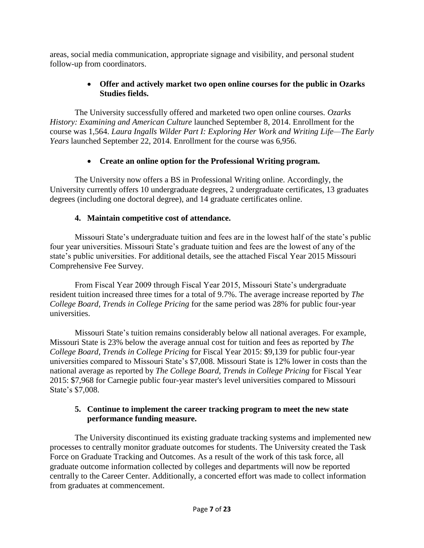areas, social media communication, appropriate signage and visibility, and personal student follow-up from coordinators.

# **Offer and actively market two open online courses for the public in Ozarks Studies fields.**

The University successfully offered and marketed two open online courses. *Ozarks History: Examining and American Culture* launched September 8, 2014. Enrollment for the course was 1,564. *Laura Ingalls Wilder Part I: Exploring Her Work and Writing Life—The Early Years* launched September 22, 2014. Enrollment for the course was 6,956.

# **Create an online option for the Professional Writing program.**

The University now offers a BS in Professional Writing online. Accordingly, the University currently offers 10 undergraduate degrees, 2 undergraduate certificates, 13 graduates degrees (including one doctoral degree), and 14 graduate certificates online.

# **4. Maintain competitive cost of attendance.**

Missouri State's undergraduate tuition and fees are in the lowest half of the state's public four year universities. Missouri State's graduate tuition and fees are the lowest of any of the state's public universities. For additional details, see the attached Fiscal Year 2015 Missouri Comprehensive Fee Survey.

From Fiscal Year 2009 through Fiscal Year 2015, Missouri State's undergraduate resident tuition increased three times for a total of 9.7%. The average increase reported by *The College Board, Trends in College Pricing* for the same period was 28% for public four-year universities.

Missouri State's tuition remains considerably below all national averages. For example, Missouri State is 23% below the average annual cost for tuition and fees as reported by *The College Board, Trends in College Pricing* for Fiscal Year 2015: \$9,139 for public four-year universities compared to Missouri State's \$7,008. Missouri State is 12% lower in costs than the national average as reported by *The College Board, Trends in College Pricing* for Fiscal Year 2015: \$7,968 for Carnegie public four-year master's level universities compared to Missouri State's \$7,008.

# **5. Continue to implement the career tracking program to meet the new state performance funding measure.**

The University discontinued its existing graduate tracking systems and implemented new processes to centrally monitor graduate outcomes for students. The University created the Task Force on Graduate Tracking and Outcomes. As a result of the work of this task force, all graduate outcome information collected by colleges and departments will now be reported centrally to the Career Center. Additionally, a concerted effort was made to collect information from graduates at commencement.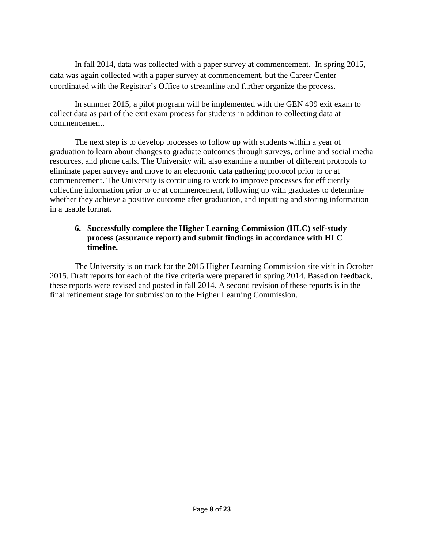In fall 2014, data was collected with a paper survey at commencement. In spring 2015, data was again collected with a paper survey at commencement, but the Career Center coordinated with the Registrar's Office to streamline and further organize the process.

In summer 2015, a pilot program will be implemented with the GEN 499 exit exam to collect data as part of the exit exam process for students in addition to collecting data at commencement.

The next step is to develop processes to follow up with students within a year of graduation to learn about changes to graduate outcomes through surveys, online and social media resources, and phone calls. The University will also examine a number of different protocols to eliminate paper surveys and move to an electronic data gathering protocol prior to or at commencement. The University is continuing to work to improve processes for efficiently collecting information prior to or at commencement, following up with graduates to determine whether they achieve a positive outcome after graduation, and inputting and storing information in a usable format.

# **6. Successfully complete the Higher Learning Commission (HLC) self-study process (assurance report) and submit findings in accordance with HLC timeline.**

The University is on track for the 2015 Higher Learning Commission site visit in October 2015. Draft reports for each of the five criteria were prepared in spring 2014. Based on feedback, these reports were revised and posted in fall 2014. A second revision of these reports is in the final refinement stage for submission to the Higher Learning Commission.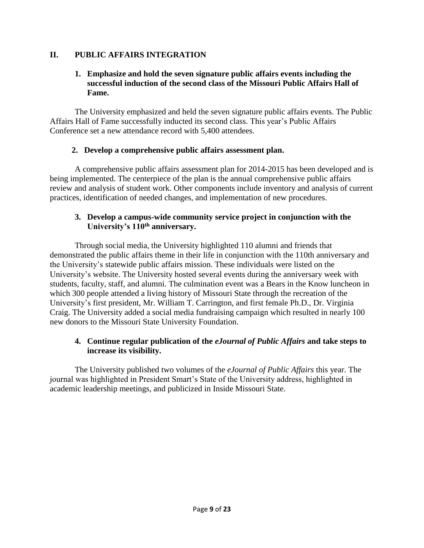# **II. PUBLIC AFFAIRS INTEGRATION**

#### **1. Emphasize and hold the seven signature public affairs events including the successful induction of the second class of the Missouri Public Affairs Hall of Fame.**

The University emphasized and held the seven signature public affairs events. The Public Affairs Hall of Fame successfully inducted its second class. This year's Public Affairs Conference set a new attendance record with 5,400 attendees.

# **2. Develop a comprehensive public affairs assessment plan.**

A comprehensive public affairs assessment plan for 2014-2015 has been developed and is being implemented. The centerpiece of the plan is the annual comprehensive public affairs review and analysis of student work. Other components include inventory and analysis of current practices, identification of needed changes, and implementation of new procedures.

#### **3. Develop a campus-wide community service project in conjunction with the University's 110th anniversary.**

Through social media, the University highlighted 110 alumni and friends that demonstrated the public affairs theme in their life in conjunction with the 110th anniversary and the University's statewide public affairs mission. These individuals were listed on the University's website. The University hosted several events during the anniversary week with students, faculty, staff, and alumni. The culmination event was a Bears in the Know luncheon in which 300 people attended a living history of Missouri State through the recreation of the University's first president, Mr. William T. Carrington, and first female Ph.D., Dr. Virginia Craig. The University added a social media fundraising campaign which resulted in nearly 100 new donors to the Missouri State University Foundation.

#### **4. Continue regular publication of the** *eJournal of Public Affairs* **and take steps to increase its visibility.**

The University published two volumes of the *eJournal of Public Affairs* this year. The journal was highlighted in President Smart's State of the University address, highlighted in academic leadership meetings, and publicized in Inside Missouri State.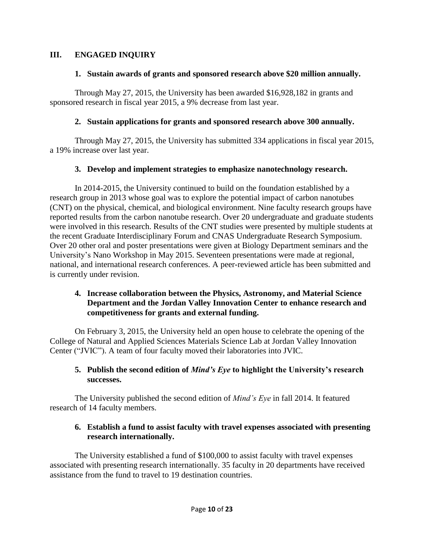## **III. ENGAGED INQUIRY**

## **1. Sustain awards of grants and sponsored research above \$20 million annually.**

Through May 27, 2015, the University has been awarded \$16,928,182 in grants and sponsored research in fiscal year 2015, a 9% decrease from last year.

# **2. Sustain applications for grants and sponsored research above 300 annually.**

Through May 27, 2015, the University has submitted 334 applications in fiscal year 2015, a 19% increase over last year.

# **3. Develop and implement strategies to emphasize nanotechnology research.**

In 2014-2015, the University continued to build on the foundation established by a research group in 2013 whose goal was to explore the potential impact of carbon nanotubes (CNT) on the physical, chemical, and biological environment. Nine faculty research groups have reported results from the carbon nanotube research. Over 20 undergraduate and graduate students were involved in this research. Results of the CNT studies were presented by multiple students at the recent Graduate Interdisciplinary Forum and CNAS Undergraduate Research Symposium. Over 20 other oral and poster presentations were given at Biology Department seminars and the University's Nano Workshop in May 2015. Seventeen presentations were made at regional, national, and international research conferences. A peer-reviewed article has been submitted and is currently under revision.

#### **4. Increase collaboration between the Physics, Astronomy, and Material Science Department and the Jordan Valley Innovation Center to enhance research and competitiveness for grants and external funding.**

On February 3, 2015, the University held an open house to celebrate the opening of the College of Natural and Applied Sciences Materials Science Lab at Jordan Valley Innovation Center ("JVIC"). A team of four faculty moved their laboratories into JVIC.

#### **5. Publish the second edition of** *Mind's Eye* **to highlight the University's research successes.**

The University published the second edition of *Mind's Eye* in fall 2014. It featured research of 14 faculty members.

# **6. Establish a fund to assist faculty with travel expenses associated with presenting research internationally.**

The University established a fund of \$100,000 to assist faculty with travel expenses associated with presenting research internationally. 35 faculty in 20 departments have received assistance from the fund to travel to 19 destination countries.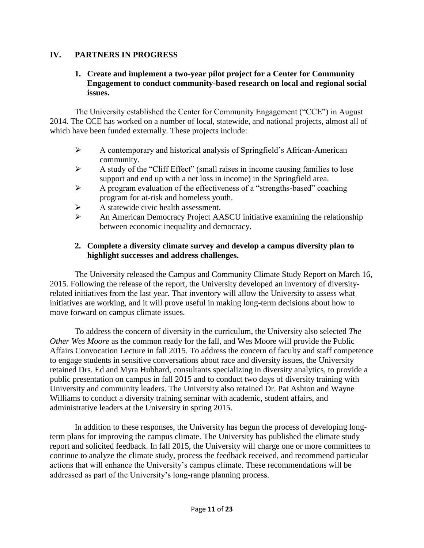# **IV. PARTNERS IN PROGRESS**

#### **1. Create and implement a two-year pilot project for a Center for Community Engagement to conduct community-based research on local and regional social issues.**

The University established the Center for Community Engagement ("CCE") in August 2014. The CCE has worked on a number of local, statewide, and national projects, almost all of which have been funded externally. These projects include:

- $\triangleright$  A contemporary and historical analysis of Springfield's African-American community.
- $\triangleright$  A study of the "Cliff Effect" (small raises in income causing families to lose support and end up with a net loss in income) in the Springfield area.
- $\triangleright$  A program evaluation of the effectiveness of a "strengths-based" coaching program for at-risk and homeless youth.
- $\triangleright$  A statewide civic health assessment.
- An American Democracy Project AASCU initiative examining the relationship between economic inequality and democracy.

# **2. Complete a diversity climate survey and develop a campus diversity plan to highlight successes and address challenges.**

The University released the Campus and Community Climate Study Report on March 16, 2015. Following the release of the report, the University developed an inventory of diversityrelated initiatives from the last year. That inventory will allow the University to assess what initiatives are working, and it will prove useful in making long-term decisions about how to move forward on campus climate issues.

To address the concern of diversity in the curriculum, the University also selected *The Other Wes Moore* as the common ready for the fall, and Wes Moore will provide the Public Affairs Convocation Lecture in fall 2015. To address the concern of faculty and staff competence to engage students in sensitive conversations about race and diversity issues, the University retained Drs. Ed and Myra Hubbard, consultants specializing in diversity analytics, to provide a public presentation on campus in fall 2015 and to conduct two days of diversity training with University and community leaders. The University also retained Dr. Pat Ashton and Wayne Williams to conduct a diversity training seminar with academic, student affairs, and administrative leaders at the University in spring 2015.

In addition to these responses, the University has begun the process of developing longterm plans for improving the campus climate. The University has published the climate study report and solicited feedback. In fall 2015, the University will charge one or more committees to continue to analyze the climate study, process the feedback received, and recommend particular actions that will enhance the University's campus climate. These recommendations will be addressed as part of the University's long-range planning process.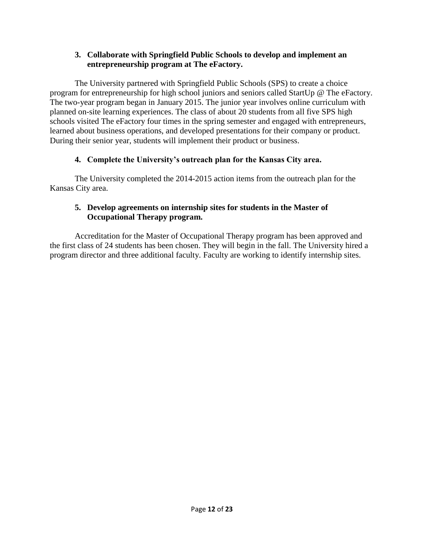#### **3. Collaborate with Springfield Public Schools to develop and implement an entrepreneurship program at The eFactory.**

The University partnered with Springfield Public Schools (SPS) to create a choice program for entrepreneurship for high school juniors and seniors called StartUp @ The eFactory. The two-year program began in January 2015. The junior year involves online curriculum with planned on-site learning experiences. The class of about 20 students from all five SPS high schools visited The eFactory four times in the spring semester and engaged with entrepreneurs, learned about business operations, and developed presentations for their company or product. During their senior year, students will implement their product or business.

# **4. Complete the University's outreach plan for the Kansas City area.**

The University completed the 2014-2015 action items from the outreach plan for the Kansas City area.

# **5. Develop agreements on internship sites for students in the Master of Occupational Therapy program.**

Accreditation for the Master of Occupational Therapy program has been approved and the first class of 24 students has been chosen. They will begin in the fall. The University hired a program director and three additional faculty. Faculty are working to identify internship sites.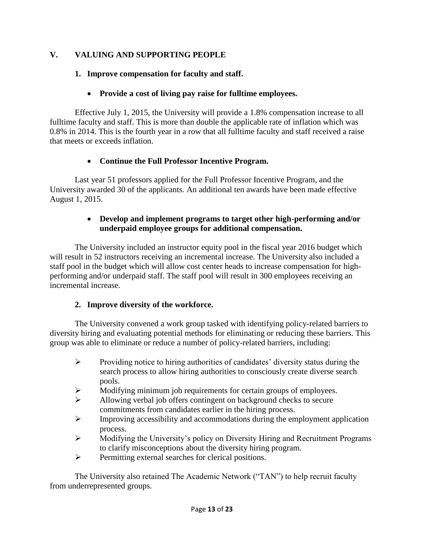# **V. VALUING AND SUPPORTING PEOPLE**

## **1. Improve compensation for faculty and staff.**

## **Provide a cost of living pay raise for fulltime employees.**

Effective July 1, 2015, the University will provide a 1.8% compensation increase to all fulltime faculty and staff. This is more than double the applicable rate of inflation which was 0.8% in 2014. This is the fourth year in a row that all fulltime faculty and staff received a raise that meets or exceeds inflation.

#### **Continue the Full Professor Incentive Program.**

Last year 51 professors applied for the Full Professor Incentive Program, and the University awarded 30 of the applicants. An additional ten awards have been made effective August 1, 2015.

#### **Develop and implement programs to target other high-performing and/or underpaid employee groups for additional compensation.**

The University included an instructor equity pool in the fiscal year 2016 budget which will result in 52 instructors receiving an incremental increase. The University also included a staff pool in the budget which will allow cost center heads to increase compensation for highperforming and/or underpaid staff. The staff pool will result in 300 employees receiving an incremental increase.

#### **2. Improve diversity of the workforce.**

The University convened a work group tasked with identifying policy-related barriers to diversity hiring and evaluating potential methods for eliminating or reducing these barriers. This group was able to eliminate or reduce a number of policy-related barriers, including:

- $\triangleright$  Providing notice to hiring authorities of candidates' diversity status during the search process to allow hiring authorities to consciously create diverse search pools.
- Modifying minimum job requirements for certain groups of employees.
- $\triangleright$  Allowing verbal job offers contingent on background checks to secure commitments from candidates earlier in the hiring process.
- $\triangleright$  Improving accessibility and accommodations during the employment application process.
- Modifying the University's policy on Diversity Hiring and Recruitment Programs to clarify misconceptions about the diversity hiring program.
- $\triangleright$  Permitting external searches for clerical positions.

The University also retained The Academic Network ("TAN") to help recruit faculty from underrepresented groups.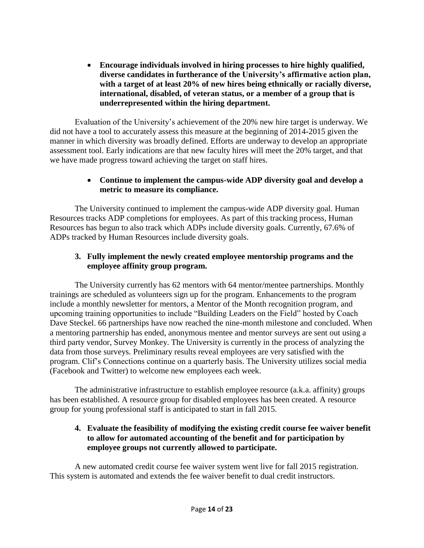**Encourage individuals involved in hiring processes to hire highly qualified, diverse candidates in furtherance of the University's affirmative action plan, with a target of at least 20% of new hires being ethnically or racially diverse, international, disabled, of veteran status, or a member of a group that is underrepresented within the hiring department.**

Evaluation of the University's achievement of the 20% new hire target is underway. We did not have a tool to accurately assess this measure at the beginning of 2014-2015 given the manner in which diversity was broadly defined. Efforts are underway to develop an appropriate assessment tool. Early indications are that new faculty hires will meet the 20% target, and that we have made progress toward achieving the target on staff hires.

# **Continue to implement the campus-wide ADP diversity goal and develop a metric to measure its compliance.**

The University continued to implement the campus-wide ADP diversity goal. Human Resources tracks ADP completions for employees. As part of this tracking process, Human Resources has begun to also track which ADPs include diversity goals. Currently, 67.6% of ADPs tracked by Human Resources include diversity goals.

# **3. Fully implement the newly created employee mentorship programs and the employee affinity group program.**

The University currently has 62 mentors with 64 mentor/mentee partnerships. Monthly trainings are scheduled as volunteers sign up for the program. Enhancements to the program include a monthly newsletter for mentors, a Mentor of the Month recognition program, and upcoming training opportunities to include "Building Leaders on the Field" hosted by Coach Dave Steckel. 66 partnerships have now reached the nine-month milestone and concluded. When a mentoring partnership has ended, anonymous mentee and mentor surveys are sent out using a third party vendor, Survey Monkey. The University is currently in the process of analyzing the data from those surveys. Preliminary results reveal employees are very satisfied with the program. Clif's Connections continue on a quarterly basis. The University utilizes social media (Facebook and Twitter) to welcome new employees each week.

The administrative infrastructure to establish employee resource (a.k.a. affinity) groups has been established. A resource group for disabled employees has been created. A resource group for young professional staff is anticipated to start in fall 2015.

# **4. Evaluate the feasibility of modifying the existing credit course fee waiver benefit to allow for automated accounting of the benefit and for participation by employee groups not currently allowed to participate.**

A new automated credit course fee waiver system went live for fall 2015 registration. This system is automated and extends the fee waiver benefit to dual credit instructors.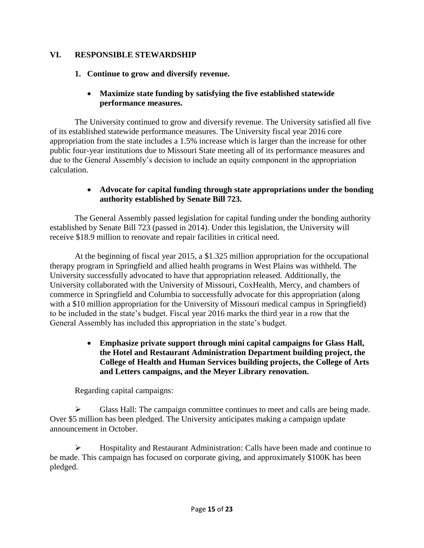#### **VI. RESPONSIBLE STEWARDSHIP**

# **1. Continue to grow and diversify revenue.**

# **Maximize state funding by satisfying the five established statewide performance measures.**

The University continued to grow and diversify revenue. The University satisfied all five of its established statewide performance measures. The University fiscal year 2016 core appropriation from the state includes a 1.5% increase which is larger than the increase for other public four-year institutions due to Missouri State meeting all of its performance measures and due to the General Assembly's decision to include an equity component in the appropriation calculation.

#### **Advocate for capital funding through state appropriations under the bonding authority established by Senate Bill 723.**

The General Assembly passed legislation for capital funding under the bonding authority established by Senate Bill 723 (passed in 2014). Under this legislation, the University will receive \$18.9 million to renovate and repair facilities in critical need.

At the beginning of fiscal year 2015, a \$1.325 million appropriation for the occupational therapy program in Springfield and allied health programs in West Plains was withheld. The University successfully advocated to have that appropriation released. Additionally, the University collaborated with the University of Missouri, CoxHealth, Mercy, and chambers of commerce in Springfield and Columbia to successfully advocate for this appropriation (along with a \$10 million appropriation for the University of Missouri medical campus in Springfield) to be included in the state's budget. Fiscal year 2016 marks the third year in a row that the General Assembly has included this appropriation in the state's budget.

## **Emphasize private support through mini capital campaigns for Glass Hall, the Hotel and Restaurant Administration Department building project, the College of Health and Human Services building projects, the College of Arts and Letters campaigns, and the Meyer Library renovation.**

Regarding capital campaigns:

 $\triangleright$  Glass Hall: The campaign committee continues to meet and calls are being made. Over \$5 million has been pledged. The University anticipates making a campaign update announcement in October.

 $\triangleright$  Hospitality and Restaurant Administration: Calls have been made and continue to be made. This campaign has focused on corporate giving, and approximately \$100K has been pledged.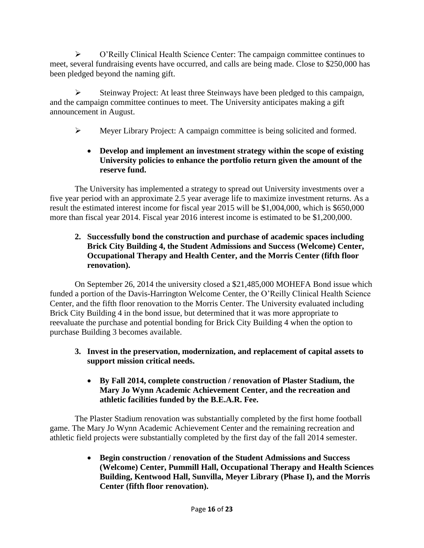O'Reilly Clinical Health Science Center: The campaign committee continues to meet, several fundraising events have occurred, and calls are being made. Close to \$250,000 has been pledged beyond the naming gift.

 $\triangleright$  Steinway Project: At least three Steinways have been pledged to this campaign, and the campaign committee continues to meet. The University anticipates making a gift announcement in August.

Meyer Library Project: A campaign committee is being solicited and formed.

# **Develop and implement an investment strategy within the scope of existing University policies to enhance the portfolio return given the amount of the reserve fund.**

The University has implemented a strategy to spread out University investments over a five year period with an approximate 2.5 year average life to maximize investment returns. As a result the estimated interest income for fiscal year 2015 will be \$1,004,000, which is \$650,000 more than fiscal year 2014. Fiscal year 2016 interest income is estimated to be \$1,200,000.

# **2. Successfully bond the construction and purchase of academic spaces including Brick City Building 4, the Student Admissions and Success (Welcome) Center, Occupational Therapy and Health Center, and the Morris Center (fifth floor renovation).**

On September 26, 2014 the university closed a \$21,485,000 MOHEFA Bond issue which funded a portion of the Davis-Harrington Welcome Center, the O'Reilly Clinical Health Science Center, and the fifth floor renovation to the Morris Center. The University evaluated including Brick City Building 4 in the bond issue, but determined that it was more appropriate to reevaluate the purchase and potential bonding for Brick City Building 4 when the option to purchase Building 3 becomes available.

- **3. Invest in the preservation, modernization, and replacement of capital assets to support mission critical needs.**
	- **By Fall 2014, complete construction / renovation of Plaster Stadium, the Mary Jo Wynn Academic Achievement Center, and the recreation and athletic facilities funded by the B.E.A.R. Fee.**

The Plaster Stadium renovation was substantially completed by the first home football game. The Mary Jo Wynn Academic Achievement Center and the remaining recreation and athletic field projects were substantially completed by the first day of the fall 2014 semester.

> **Begin construction / renovation of the Student Admissions and Success (Welcome) Center, Pummill Hall, Occupational Therapy and Health Sciences Building, Kentwood Hall, Sunvilla, Meyer Library (Phase I), and the Morris Center (fifth floor renovation).**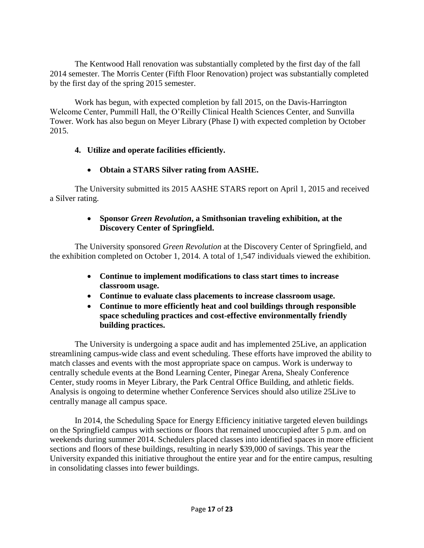The Kentwood Hall renovation was substantially completed by the first day of the fall 2014 semester. The Morris Center (Fifth Floor Renovation) project was substantially completed by the first day of the spring 2015 semester.

Work has begun, with expected completion by fall 2015, on the Davis-Harrington Welcome Center, Pummill Hall, the O'Reilly Clinical Health Sciences Center, and Sunvilla Tower. Work has also begun on Meyer Library (Phase I) with expected completion by October 2015.

# **4. Utilize and operate facilities efficiently.**

# **Obtain a STARS Silver rating from AASHE.**

The University submitted its 2015 AASHE STARS report on April 1, 2015 and received a Silver rating.

#### **Sponsor** *Green Revolution***, a Smithsonian traveling exhibition, at the Discovery Center of Springfield.**

The University sponsored *Green Revolution* at the Discovery Center of Springfield, and the exhibition completed on October 1, 2014. A total of 1,547 individuals viewed the exhibition.

- **Continue to implement modifications to class start times to increase classroom usage.**
- **Continue to evaluate class placements to increase classroom usage.**
- **Continue to more efficiently heat and cool buildings through responsible space scheduling practices and cost-effective environmentally friendly building practices.**

The University is undergoing a space audit and has implemented 25Live, an application streamlining campus-wide class and event scheduling. These efforts have improved the ability to match classes and events with the most appropriate space on campus. Work is underway to centrally schedule events at the Bond Learning Center, Pinegar Arena, Shealy Conference Center, study rooms in Meyer Library, the Park Central Office Building, and athletic fields. Analysis is ongoing to determine whether Conference Services should also utilize 25Live to centrally manage all campus space.

In 2014, the Scheduling Space for Energy Efficiency initiative targeted eleven buildings on the Springfield campus with sections or floors that remained unoccupied after 5 p.m. and on weekends during summer 2014. Schedulers placed classes into identified spaces in more efficient sections and floors of these buildings, resulting in nearly \$39,000 of savings. This year the University expanded this initiative throughout the entire year and for the entire campus, resulting in consolidating classes into fewer buildings.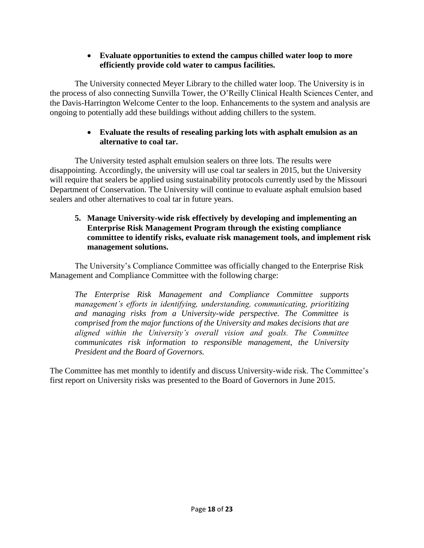### **Evaluate opportunities to extend the campus chilled water loop to more efficiently provide cold water to campus facilities.**

The University connected Meyer Library to the chilled water loop. The University is in the process of also connecting Sunvilla Tower, the O'Reilly Clinical Health Sciences Center, and the Davis-Harrington Welcome Center to the loop. Enhancements to the system and analysis are ongoing to potentially add these buildings without adding chillers to the system.

# **Evaluate the results of resealing parking lots with asphalt emulsion as an alternative to coal tar.**

The University tested asphalt emulsion sealers on three lots. The results were disappointing. Accordingly, the university will use coal tar sealers in 2015, but the University will require that sealers be applied using sustainability protocols currently used by the Missouri Department of Conservation. The University will continue to evaluate asphalt emulsion based sealers and other alternatives to coal tar in future years.

# **5. Manage University-wide risk effectively by developing and implementing an Enterprise Risk Management Program through the existing compliance committee to identify risks, evaluate risk management tools, and implement risk management solutions.**

The University's Compliance Committee was officially changed to the Enterprise Risk Management and Compliance Committee with the following charge:

*The Enterprise Risk Management and Compliance Committee supports management's efforts in identifying, understanding, communicating, prioritizing and managing risks from a University-wide perspective. The Committee is comprised from the major functions of the University and makes decisions that are aligned within the University's overall vision and goals. The Committee communicates risk information to responsible management, the University President and the Board of Governors.*

The Committee has met monthly to identify and discuss University-wide risk. The Committee's first report on University risks was presented to the Board of Governors in June 2015.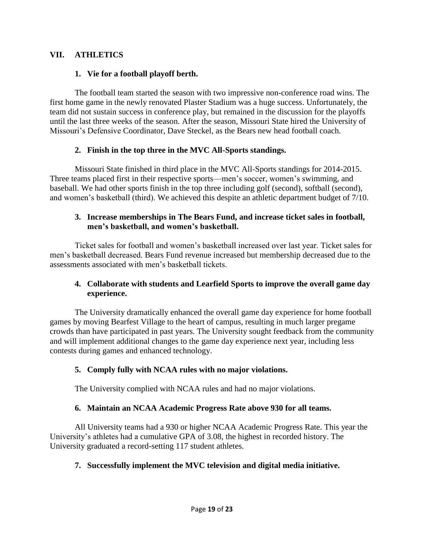### **VII. ATHLETICS**

## **1. Vie for a football playoff berth.**

The football team started the season with two impressive non-conference road wins. The first home game in the newly renovated Plaster Stadium was a huge success. Unfortunately, the team did not sustain success in conference play, but remained in the discussion for the playoffs until the last three weeks of the season. After the season, Missouri State hired the University of Missouri's Defensive Coordinator, Dave Steckel, as the Bears new head football coach.

#### **2. Finish in the top three in the MVC All-Sports standings.**

Missouri State finished in third place in the MVC All-Sports standings for 2014-2015. Three teams placed first in their respective sports—men's soccer, women's swimming, and baseball. We had other sports finish in the top three including golf (second), softball (second), and women's basketball (third). We achieved this despite an athletic department budget of 7/10.

#### **3. Increase memberships in The Bears Fund, and increase ticket sales in football, men's basketball, and women's basketball.**

Ticket sales for football and women's basketball increased over last year. Ticket sales for men's basketball decreased. Bears Fund revenue increased but membership decreased due to the assessments associated with men's basketball tickets.

# **4. Collaborate with students and Learfield Sports to improve the overall game day experience.**

The University dramatically enhanced the overall game day experience for home football games by moving Bearfest Village to the heart of campus, resulting in much larger pregame crowds than have participated in past years. The University sought feedback from the community and will implement additional changes to the game day experience next year, including less contests during games and enhanced technology.

# **5. Comply fully with NCAA rules with no major violations.**

The University complied with NCAA rules and had no major violations.

#### **6. Maintain an NCAA Academic Progress Rate above 930 for all teams.**

All University teams had a 930 or higher NCAA Academic Progress Rate. This year the University's athletes had a cumulative GPA of 3.08, the highest in recorded history. The University graduated a record-setting 117 student athletes.

# **7. Successfully implement the MVC television and digital media initiative.**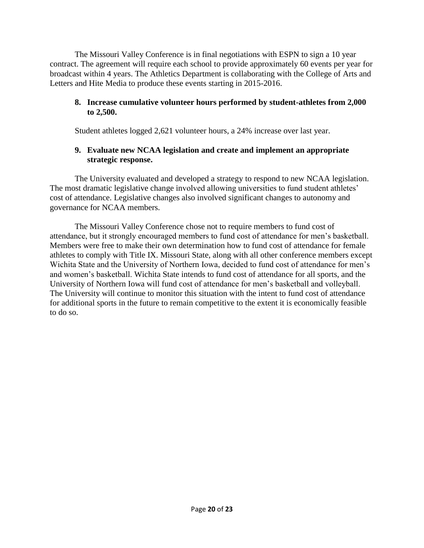The Missouri Valley Conference is in final negotiations with ESPN to sign a 10 year contract. The agreement will require each school to provide approximately 60 events per year for broadcast within 4 years. The Athletics Department is collaborating with the College of Arts and Letters and Hite Media to produce these events starting in 2015-2016.

## **8. Increase cumulative volunteer hours performed by student-athletes from 2,000 to 2,500.**

Student athletes logged 2,621 volunteer hours, a 24% increase over last year.

# **9. Evaluate new NCAA legislation and create and implement an appropriate strategic response.**

The University evaluated and developed a strategy to respond to new NCAA legislation. The most dramatic legislative change involved allowing universities to fund student athletes' cost of attendance. Legislative changes also involved significant changes to autonomy and governance for NCAA members.

The Missouri Valley Conference chose not to require members to fund cost of attendance, but it strongly encouraged members to fund cost of attendance for men's basketball. Members were free to make their own determination how to fund cost of attendance for female athletes to comply with Title IX. Missouri State, along with all other conference members except Wichita State and the University of Northern Iowa, decided to fund cost of attendance for men's and women's basketball. Wichita State intends to fund cost of attendance for all sports, and the University of Northern Iowa will fund cost of attendance for men's basketball and volleyball. The University will continue to monitor this situation with the intent to fund cost of attendance for additional sports in the future to remain competitive to the extent it is economically feasible to do so.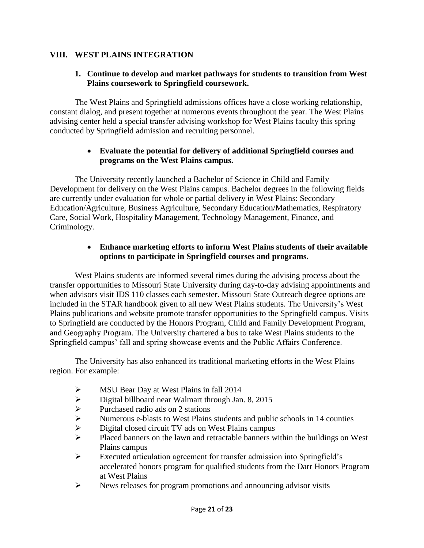# **VIII. WEST PLAINS INTEGRATION**

## **1. Continue to develop and market pathways for students to transition from West Plains coursework to Springfield coursework.**

The West Plains and Springfield admissions offices have a close working relationship, constant dialog, and present together at numerous events throughout the year. The West Plains advising center held a special transfer advising workshop for West Plains faculty this spring conducted by Springfield admission and recruiting personnel.

#### **Evaluate the potential for delivery of additional Springfield courses and programs on the West Plains campus.**

The University recently launched a Bachelor of Science in Child and Family Development for delivery on the West Plains campus. Bachelor degrees in the following fields are currently under evaluation for whole or partial delivery in West Plains: Secondary Education/Agriculture, Business Agriculture, Secondary Education/Mathematics, Respiratory Care, Social Work, Hospitality Management, Technology Management, Finance, and Criminology.

## **Enhance marketing efforts to inform West Plains students of their available options to participate in Springfield courses and programs.**

West Plains students are informed several times during the advising process about the transfer opportunities to Missouri State University during day-to-day advising appointments and when advisors visit IDS 110 classes each semester. Missouri State Outreach degree options are included in the STAR handbook given to all new West Plains students. The University's West Plains publications and website promote transfer opportunities to the Springfield campus. Visits to Springfield are conducted by the Honors Program, Child and Family Development Program, and Geography Program. The University chartered a bus to take West Plains students to the Springfield campus' fall and spring showcase events and the Public Affairs Conference.

The University has also enhanced its traditional marketing efforts in the West Plains region. For example:

- 
- MSU Bear Day at West Plains in fall 2014<br>
Digital billboard near Walmart through Jan<br>
Purchased radio ads on 2 stations<br>
Numerous e-blasts to West Plains students<br>
Digital closed circuit TV ads on West Plain Digital billboard near Walmart through Jan. 8, 2015
- Purchased radio ads on 2 stations
- Numerous e-blasts to West Plains students and public schools in 14 counties
- Digital closed circuit TV ads on West Plains campus
- $\triangleright$  Placed banners on the lawn and retractable banners within the buildings on West Plains campus
- Executed articulation agreement for transfer admission into Springfield's accelerated honors program for qualified students from the Darr Honors Program at West Plains
- $\triangleright$  News releases for program promotions and announcing advisor visits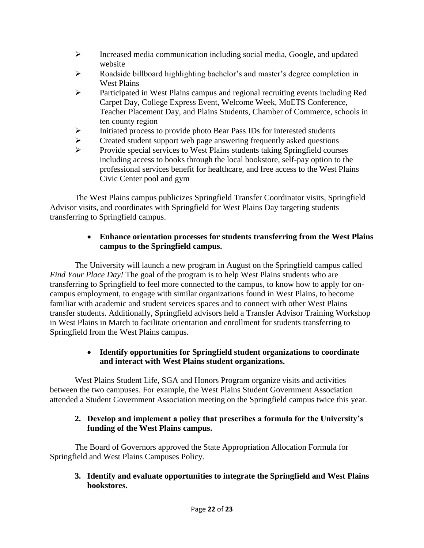- $\triangleright$  Increased media communication including social media, Google, and updated website
- $\triangleright$  Roadside billboard highlighting bachelor's and master's degree completion in West Plains
- Participated in West Plains campus and regional recruiting events including Red Carpet Day, College Express Event, Welcome Week, MoETS Conference, Teacher Placement Day, and Plains Students, Chamber of Commerce, schools in ten county region
- $\triangleright$  Initiated process to provide photo Bear Pass IDs for interested students
- Exercise Student support web page answering frequently asked questions<br>  $\triangleright$  Provide special services to West Plains students taking Springfield course
- Provide special services to West Plains students taking Springfield courses including access to books through the local bookstore, self-pay option to the professional services benefit for healthcare, and free access to the West Plains Civic Center pool and gym

The West Plains campus publicizes Springfield Transfer Coordinator visits, Springfield Advisor visits, and coordinates with Springfield for West Plains Day targeting students transferring to Springfield campus.

# **Enhance orientation processes for students transferring from the West Plains campus to the Springfield campus.**

The University will launch a new program in August on the Springfield campus called *Find Your Place Day!* The goal of the program is to help West Plains students who are transferring to Springfield to feel more connected to the campus, to know how to apply for oncampus employment, to engage with similar organizations found in West Plains, to become familiar with academic and student services spaces and to connect with other West Plains transfer students. Additionally, Springfield advisors held a Transfer Advisor Training Workshop in West Plains in March to facilitate orientation and enrollment for students transferring to Springfield from the West Plains campus.

# **Identify opportunities for Springfield student organizations to coordinate and interact with West Plains student organizations.**

West Plains Student Life, SGA and Honors Program organize visits and activities between the two campuses. For example, the West Plains Student Government Association attended a Student Government Association meeting on the Springfield campus twice this year.

# **2. Develop and implement a policy that prescribes a formula for the University's funding of the West Plains campus.**

The Board of Governors approved the State Appropriation Allocation Formula for Springfield and West Plains Campuses Policy.

**3. Identify and evaluate opportunities to integrate the Springfield and West Plains bookstores.**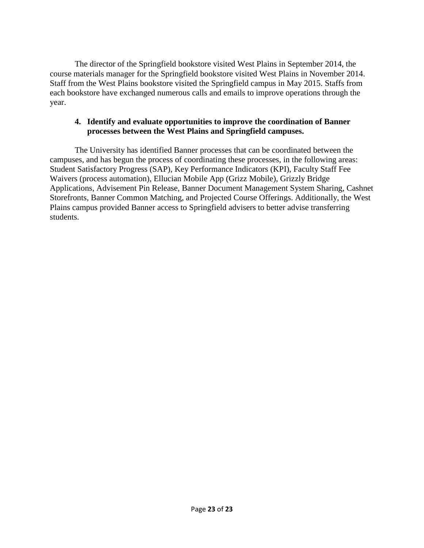The director of the Springfield bookstore visited West Plains in September 2014, the course materials manager for the Springfield bookstore visited West Plains in November 2014. Staff from the West Plains bookstore visited the Springfield campus in May 2015. Staffs from each bookstore have exchanged numerous calls and emails to improve operations through the year.

#### **4. Identify and evaluate opportunities to improve the coordination of Banner processes between the West Plains and Springfield campuses.**

The University has identified Banner processes that can be coordinated between the campuses, and has begun the process of coordinating these processes, in the following areas: Student Satisfactory Progress (SAP), Key Performance Indicators (KPI), Faculty Staff Fee Waivers (process automation), Ellucian Mobile App (Grizz Mobile), Grizzly Bridge Applications, Advisement Pin Release, Banner Document Management System Sharing, Cashnet Storefronts, Banner Common Matching, and Projected Course Offerings. Additionally, the West Plains campus provided Banner access to Springfield advisers to better advise transferring students.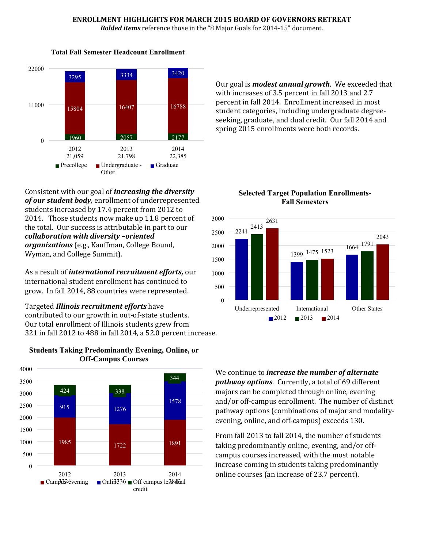#### **ENROLLMENT HIGHLIGHTS FOR MARCH 2015 BOARD OF GOVERNORS RETREAT**

*Bolded items* reference those in the "8 Major Goals for 2014-15" document.



Our goal is *modest annual growth*. We exceeded that with increases of 3.5 percent in fall 2013 and 2.7 percent in fall 2014. Enrollment increased in most student categories, including undergraduate degreeseeking, graduate, and dual credit. Our fall 2014 and spring 2015 enrollments were both records.

Consistent with our goal of *increasing the diversity of our student body,* enrollment of underrepresented students increased by 17.4 percent from 2012 to 2014. Those students now make up 11.8 percent of the total. Our success is attributable in part to our *collaboration with diversity –oriented organizations* (e.g., Kauffman, College Bound, Wyman, and College Summit).

As a result of *international recruitment efforts,* our international student enrollment has continued to grow. In fall 2014, 88 countries were represented.

Targeted *Illinois recruitment efforts* have contributed to our growth in out-of-state students. Our total enrollment of Illinois students grew from 321 in fall 2012 to 488 in fall 2014, a 52.0 percent increase.



#### **Students Taking Predominantly Evening, Online, or Off-Campus Courses**

**Selected Target Population Enrollments-Fall Semesters**



We continue to *increase the number of alternate pathway options*. Currently, a total of 69 different majors can be completed through online, evening and/or off-campus enrollment. The number of distinct pathway options (combinations of major and modalityevening, online, and off-campus) exceeds 130.

From fall 2013 to fall 2014, the number of students taking predominantly online, evening, and/or offcampus courses increased, with the most notable increase coming in students taking predominantly online courses (an increase of 23.7 percent).

#### **Total Fall Semester Headcount Enrollment**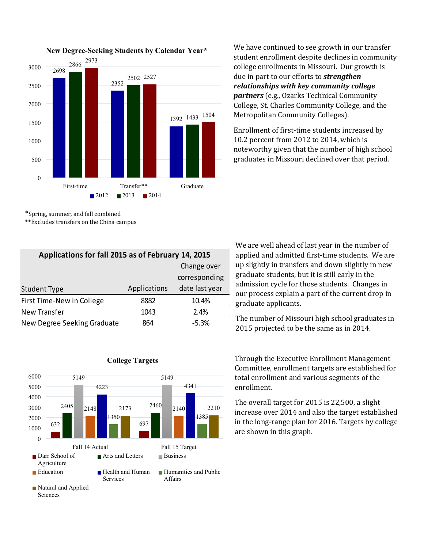

**New Degree-Seeking Students by Calendar Year\***

\*Spring, summer, and fall combined

\*\*Excludes transfers on the China campus

| Applications for fall 2015 as of February 14, 2015 |              |                |  |
|----------------------------------------------------|--------------|----------------|--|
|                                                    |              | Change over    |  |
|                                                    |              | corresponding  |  |
| <b>Student Type</b>                                | Applications | date last year |  |
| First Time-New in College                          | 8882         | 10.4%          |  |
| New Transfer                                       | 1043         | 2.4%           |  |
| New Degree Seeking Graduate                        | 864          | $-5.3%$        |  |



We have continued to see growth in our transfer student enrollment despite declines in community college enrollments in Missouri. Our growth is due in part to our efforts to *strengthen relationships with key community college partners* (e.g., Ozarks Technical Community College, St. Charles Community College, and the Metropolitan Community Colleges).

Enrollment of first-time students increased by 10.2 percent from 2012 to 2014, which is noteworthy given that the number of high school graduates in Missouri declined over that period.

We are well ahead of last year in the number of applied and admitted first-time students. We are up slightly in transfers and down slightly in new graduate students, but it is still early in the admission cycle for those students. Changes in our process explain a part of the current drop in graduate applicants.

The number of Missouri high school graduates in 2015 projected to be the same as in 2014.

Through the Executive Enrollment Management Committee, enrollment targets are established for total enrollment and various segments of the enrollment.

The overall target for 2015 is 22,500, a slight increase over 2014 and also the target established in the long-range plan for 2016. Targets by college are shown in this graph.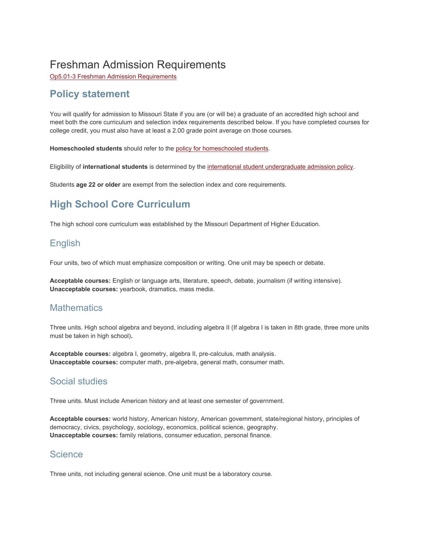# Freshman Admission Requirements

Op5.01-3 Freshman Admission [Requirements](http://www.missouristate.edu/policy/Op5_01_3_FreshmanAdmissionRequirements.htm)

# **Policy statement**

You will qualify for admission to Missouri State if you are (or will be) a graduate of an accredited high school and meet both the core curriculum and selection index requirements described below. If you have completed courses for college credit, you must also have at least a 2.00 grade point average on those courses.

**Homeschooled students** should refer to the policy for [homeschooled](http://www.missouristate.edu/admissions/homeschoolStudents.htm) students.

Eligibility of **international students** is determined by the international student [undergraduate](http://www.missouristate.edu/policy/Op5_09_1_InternationalUndergraduateStudents.htm) admission policy.

Students **age 22 or older** are exempt from the selection index and core requirements.

# **High School Core Curriculum**

The high school core curriculum was established by the Missouri Department of Higher Education.

# English

Four units, two of which must emphasize composition or writing. One unit may be speech or debate.

**Acceptable courses:** English or language arts, literature, speech, debate, journalism (if writing intensive). **Unacceptable courses:** yearbook, dramatics, mass media.

# **Mathematics**

Three units. High school algebra and beyond, including algebra II (If algebra I is taken in 8th grade, three more units must be taken in high school)**.**

**Acceptable courses:** algebra I, geometry, algebra II, pre-calculus, math analysis. **Unacceptable courses:** computer math, pre-algebra, general math, consumer math.

# Social studies

Three units. Must include American history and at least one semester of government.

**Acceptable courses:** world history, American history, American government, state/regional history, principles of democracy, civics, psychology, sociology, economics, political science, geography. **Unacceptable courses:** family relations, consumer education, personal finance.

#### **Science**

Three units, not including general science. One unit must be a laboratory course.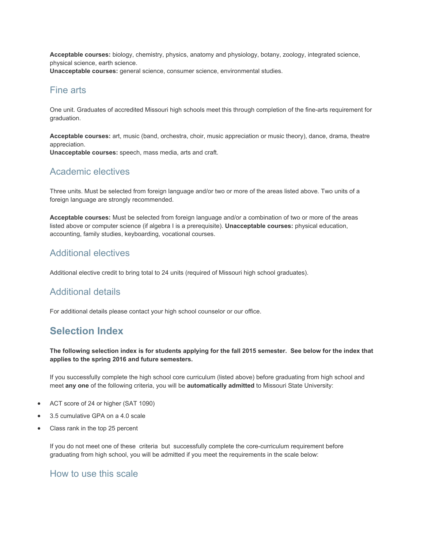**Acceptable courses:** biology, chemistry, physics, anatomy and physiology, botany, zoology, integrated science, physical science, earth science.

**Unacceptable courses:** general science, consumer science, environmental studies.

# Fine arts

One unit. Graduates of accredited Missouri high schools meet this through completion of the fine-arts requirement for graduation.

**Acceptable courses:** art, music (band, orchestra, choir, music appreciation or music theory), dance, drama, theatre appreciation.

**Unacceptable courses:** speech, mass media, arts and craft.

# Academic electives

Three units. Must be selected from foreign language and/or two or more of the areas listed above. Two units of a foreign language are strongly recommended.

**Acceptable courses:** Must be selected from foreign language and/or a combination of two or more of the areas listed above or computer science (if algebra I is a prerequisite). **Unacceptable courses:** physical education, accounting, family studies, keyboarding, vocational courses.

# Additional electives

Additional elective credit to bring total to 24 units (required of Missouri high school graduates).

# Additional details

For additional details please contact your high school counselor or our office.

# **Selection Index**

The following selection index is for students applying for the fall 2015 semester. See below for the index that **applies to the spring 2016 and future semesters.**

If you successfully complete the high school core curriculum (listed above) before graduating from high school and meet **any one** of the following criteria, you will be **automatically admitted** to Missouri State University:

- ACT score of 24 or higher (SAT 1090)
- 3.5 cumulative GPA on a 4.0 scale
- Class rank in the top 25 percent

If you do not meet one of these criteria but successfully complete the core-curriculum requirement before graduating from high school, you will be admitted if you meet the requirements in the scale below:

# How to use this scale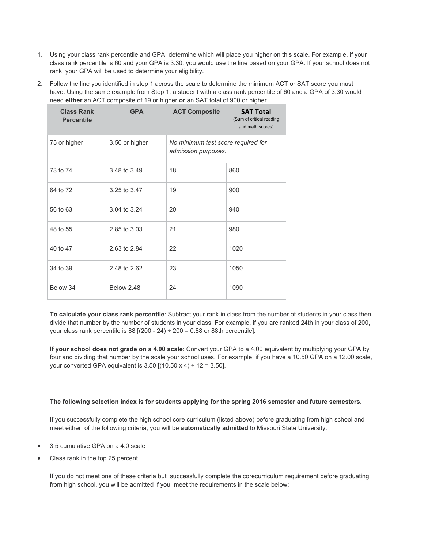- 1. Using your class rank percentile and GPA, determine which will place you higher on this scale. For example, if your class rank percentile is 60 and your GPA is 3.30, you would use the line based on your GPA. If your school does not rank, your GPA will be used to determine your eligibility.
- 2. Follow the line you identified in step 1 across the scale to determine the minimum ACT or SAT score you must have. Using the same example from Step 1, a student with a class rank percentile of 60 and a GPA of 3.30 would need **either** an ACT composite of 19 or higher **or** an SAT total of 900 or higher.

| <b>Class Rank</b><br><b>Percentile</b> | <b>GPA</b>     | <b>ACT Composite</b>                                      | <b>SAT Total</b><br>(Sum of critical reading<br>and math scores) |
|----------------------------------------|----------------|-----------------------------------------------------------|------------------------------------------------------------------|
| 75 or higher                           | 3.50 or higher | No minimum test score required for<br>admission purposes. |                                                                  |
| 73 to 74                               | 3.48 to 3.49   | 18                                                        | 860                                                              |
| 64 to 72                               | 3.25 to 3.47   | 19                                                        | 900                                                              |
| 56 to 63                               | 3.04 to 3.24   | 20                                                        | 940                                                              |
| 48 to 55                               | 2.85 to 3.03   | 21                                                        | 980                                                              |
| 40 to 47                               | 2.63 to 2.84   | 22                                                        | 1020                                                             |
| 34 to 39                               | 2.48 to 2.62   | 23                                                        | 1050                                                             |
| Below 34                               | Below 2.48     | 24                                                        | 1090                                                             |

**To calculate your class rank percentile**: Subtract your rank in class from the number of students in your class then divide that number by the number of students in your class. For example, if you are ranked 24th in your class of 200, your class rank percentile is 88  $[(200 - 24) \div 200 = 0.88$  or 88th percentile].

**If your school does not grade on a 4.00 scale**: Convert your GPA to a 4.00 equivalent by multiplying your GPA by four and dividing that number by the scale your school uses. For example, if you have a 10.50 GPA on a 12.00 scale, your converted GPA equivalent is  $3.50$  [(10.50 x 4) ÷ 12 = 3.50].

#### **The following selection index is for students applying for the spring 2016 semester and future semesters.**

If you successfully complete the high school core curriculum (listed above) before graduating from high school and meet either of the following criteria, you will be **automatically admitted** to Missouri State University:

- 3.5 cumulative GPA on a 4.0 scale
- Class rank in the top 25 percent

If you do not meet one of these criteria but successfully complete the corecurriculum requirement before graduating from high school, you will be admitted if you meet the requirements in the scale below: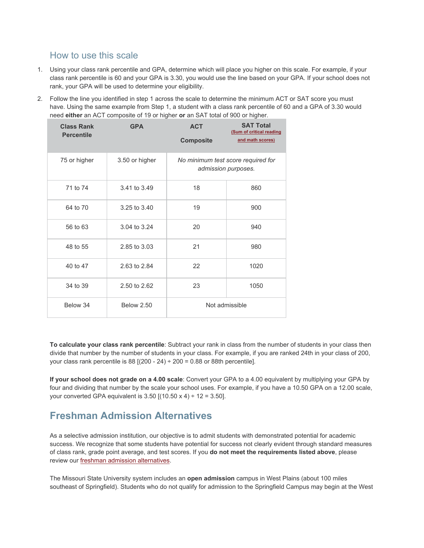# How to use this scale

- 1. Using your class rank percentile and GPA, determine which will place you higher on this scale. For example, if your class rank percentile is 60 and your GPA is 3.30, you would use the line based on your GPA. If your school does not rank, your GPA will be used to determine your eligibility.
- 2. Follow the line you identified in step 1 across the scale to determine the minimum ACT or SAT score you must have. Using the same example from Step 1, a student with a class rank percentile of 60 and a GPA of 3.30 would need **either** an ACT composite of 19 or higher **or** an SAT total of 900 or higher.

| <b>Class Rank</b><br><b>Percentile</b> | <b>GPA</b>        | <b>ACT</b><br><b>Composite</b>                            | <b>SAT Total</b><br>(Sum of critical reading<br>and math scores) |  |
|----------------------------------------|-------------------|-----------------------------------------------------------|------------------------------------------------------------------|--|
| 75 or higher                           | 3.50 or higher    | No minimum test score required for<br>admission purposes. |                                                                  |  |
| 71 to 74                               | 3.41 to 3.49      | 18                                                        | 860                                                              |  |
| 64 to 70                               | 3.25 to 3.40      | 19                                                        | 900                                                              |  |
| 56 to 63                               | 3.04 to 3.24      | 20                                                        | 940                                                              |  |
| 48 to 55                               | 2.85 to 3.03      | 21                                                        | 980                                                              |  |
| 40 to 47                               | 2.63 to 2.84      | 22                                                        | 1020                                                             |  |
| 34 to 39                               | 2.50 to 2.62      | 23                                                        | 1050                                                             |  |
| Below 34                               | <b>Below 2.50</b> |                                                           | Not admissible                                                   |  |

**To calculate your class rank percentile**: Subtract your rank in class from the number of students in your class then divide that number by the number of students in your class. For example, if you are ranked 24th in your class of 200, your class rank percentile is 88  $[(200 - 24) \div 200 = 0.88$  or 88th percentile].

**If your school does not grade on a 4.00 scale**: Convert your GPA to a 4.00 equivalent by multiplying your GPA by four and dividing that number by the scale your school uses. For example, if you have a 10.50 GPA on a 12.00 scale, your converted GPA equivalent is  $3.50$  [(10.50 x 4) ÷ 12 =  $3.50$ ].

# **Freshman Admission Alternatives**

As a selective admission institution, our objective is to admit students with demonstrated potential for academic success. We recognize that some students have potential for success not clearly evident through standard measures of class rank, grade point average, and test scores. If you **do not meet the requirements listed above**, please review our freshman admission [alternatives](http://www.missouristate.edu/admissions/admissionalternatives.htm).

The Missouri State University system includes an **open admission** campus in West Plains (about 100 miles southeast of Springfield). Students who do not qualify for admission to the Springfield Campus may begin at the West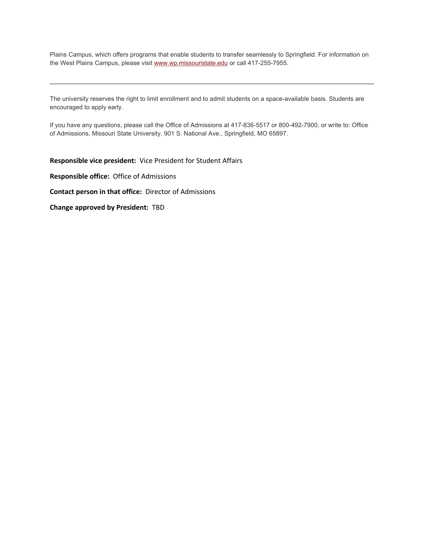Plains Campus, which offers programs that enable students to transfer seamlessly to Springfield. For information on the West Plains Campus, please visit [www.wp.missouristate.edu](http://www.wp.missouristate.edu/) or call 417-255-7955.

The university reserves the right to limit enrollment and to admit students on a space-available basis. Students are encouraged to apply early.

If you have any questions, please call the Office of Admissions at 417-836-5517 or 800-492-7900, or write to: Office of Admissions, Missouri State University, 901 S. National Ave., Springfield, MO 65897.

**Responsible vice president:** Vice President for Student Affairs

**Responsible office:** Office of Admissions

**Contact person in that office:** Director of Admissions

**Change approved by President:** TBD